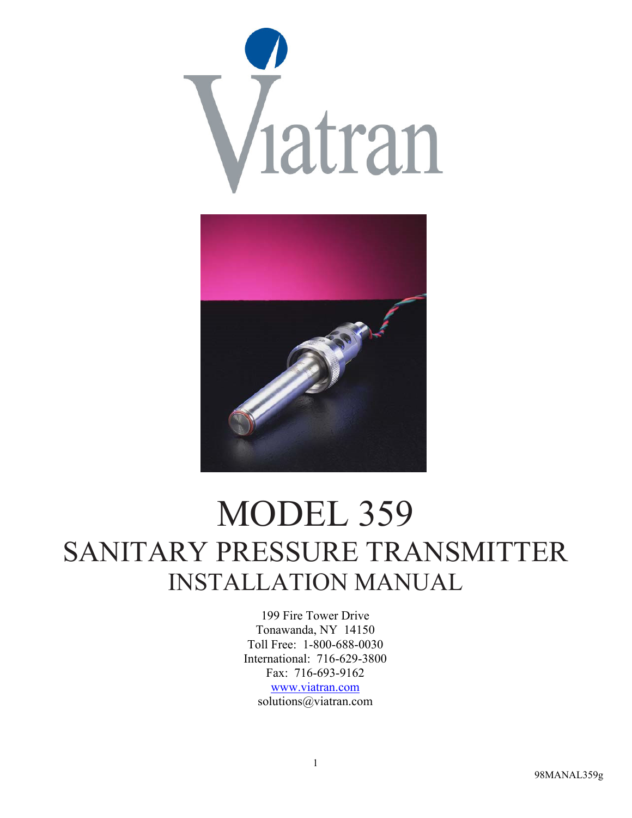



# MODEL 359 SANITARY PRESSURE TRANSMITTER INSTALLATION MANUAL

199 Fire Tower Drive Tonawanda, NY 14150 Toll Free: 1-800-688-0030 International: 716-629-3800 Fax: 716-693-9162 www.viatran.com solutions@viatran.com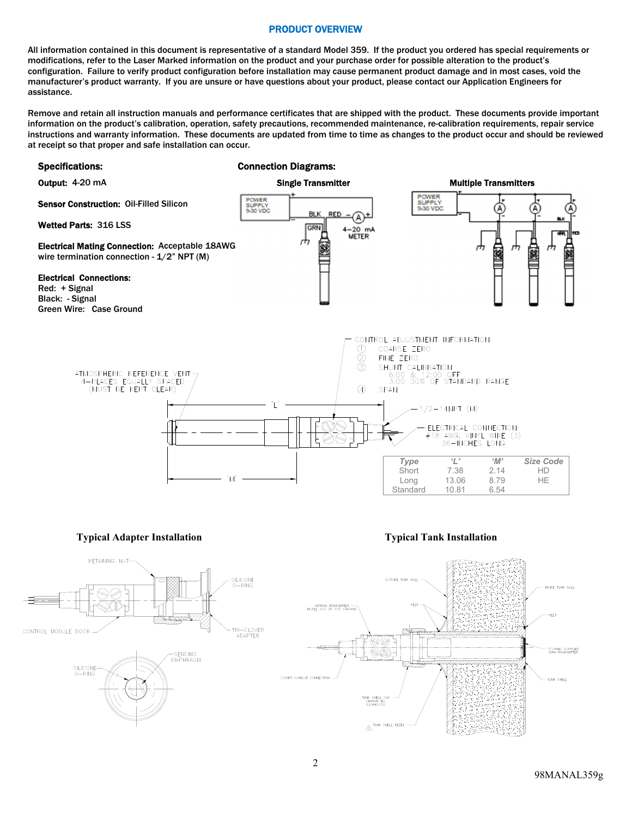# PRODUCT OVERVIEW

All information contained in this document is representative of a standard Model 359. If the product you ordered has special requirements or modifications, refer to the Laser Marked information on the product and your purchase order for possible alteration to the product's configuration. Failure to verify product configuration before installation may cause permanent product damage and in most cases, void the manufacturer's product warranty. If you are unsure or have questions about your product, please contact our Application Engineers for assistance.

Remove and retain all instruction manuals and performance certificates that are shipped with the product. These documents provide important information on the product's calibration, operation, safety precautions, recommended maintenance, re-calibration requirements, repair service instructions and warranty information. These documents are updated from time to time as changes to the product occur and should be reviewed at receipt so that proper and safe installation can occur.

## Specifications: Connection Diagrams:





**Typical Adapter Installation Typical Tank Installation Typical Tank Installation** 

**ING SUPPLIED**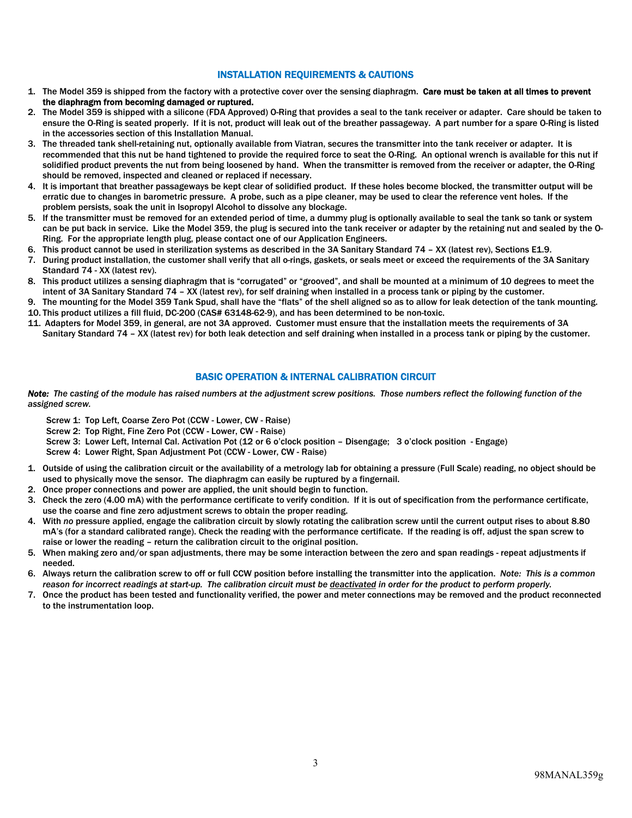# INSTALLATION REQUIREMENTS & CAUTIONS

- 1. The Model 359 is shipped from the factory with a protective cover over the sensing diaphragm. Care must be taken at all times to prevent the diaphragm from becoming damaged or ruptured.
- 2. The Model 359 is shipped with a silicone (FDA Approved) O-Ring that provides a seal to the tank receiver or adapter. Care should be taken to ensure the O-Ring is seated properly. If it is not, product will leak out of the breather passageway. A part number for a spare O-Ring is listed in the accessories section of this Installation Manual.
- 3. The threaded tank shell-retaining nut, optionally available from Viatran, secures the transmitter into the tank receiver or adapter. It is recommended that this nut be hand tightened to provide the required force to seat the O-Ring. An optional wrench is available for this nut if solidified product prevents the nut from being loosened by hand. When the transmitter is removed from the receiver or adapter, the O-Ring should be removed, inspected and cleaned or replaced if necessary.
- 4. It is important that breather passageways be kept clear of solidified product. If these holes become blocked, the transmitter output will be erratic due to changes in barometric pressure. A probe, such as a pipe cleaner, may be used to clear the reference vent holes. If the problem persists, soak the unit in Isopropyl Alcohol to dissolve any blockage.
- 5. If the transmitter must be removed for an extended period of time, a dummy plug is optionally available to seal the tank so tank or system can be put back in service. Like the Model 359, the plug is secured into the tank receiver or adapter by the retaining nut and sealed by the O-Ring. For the appropriate length plug, please contact one of our Application Engineers.
- 6. This product cannot be used in sterilization systems as described in the 3A Sanitary Standard 74 XX (latest rev), Sections E1.9.
- 7. During product installation, the customer shall verify that all o-rings, gaskets, or seals meet or exceed the requirements of the 3A Sanitary Standard 74 - XX (latest rev).
- 8. This product utilizes a sensing diaphragm that is "corrugated" or "grooved", and shall be mounted at a minimum of 10 degrees to meet the intent of 3A Sanitary Standard 74 – XX (latest rev), for self draining when installed in a process tank or piping by the customer.
- 9. The mounting for the Model 359 Tank Spud, shall have the "flats" of the shell aligned so as to allow for leak detection of the tank mounting. 10. This product utilizes a fill fluid, DC-200 (CAS# 63148-62-9), and has been determined to be non-toxic.
- 11. Adapters for Model 359, in general, are not 3A approved. Customer must ensure that the installation meets the requirements of 3A
- Sanitary Standard 74 XX (latest rev) for both leak detection and self draining when installed in a process tank or piping by the customer.

# BASIC OPERATION & INTERNAL CALIBRATION CIRCUIT

*Note: The casting of the module has raised numbers at the adjustment screw positions. Those numbers reflect the following function of the assigned screw.* 

Screw 1: Top Left, Coarse Zero Pot (CCW - Lower, CW - Raise)

Screw 2: Top Right, Fine Zero Pot (CCW - Lower, CW - Raise)

Screw 3: Lower Left, Internal Cal. Activation Pot (12 or 6 o'clock position – Disengage; 3 o'clock position - Engage)

Screw 4: Lower Right, Span Adjustment Pot (CCW - Lower, CW - Raise)

- 1. Outside of using the calibration circuit or the availability of a metrology lab for obtaining a pressure (Full Scale) reading, no object should be used to physically move the sensor. The diaphragm can easily be ruptured by a fingernail.
- 2. Once proper connections and power are applied, the unit should begin to function.
- 3. Check the zero (4.00 mA) with the performance certificate to verify condition. If it is out of specification from the performance certificate, use the coarse and fine zero adjustment screws to obtain the proper reading.
- 4. With *no* pressure applied, engage the calibration circuit by slowly rotating the calibration screw until the current output rises to about 8.80 mA's (for a standard calibrated range). Check the reading with the performance certificate. If the reading is off, adjust the span screw to raise or lower the reading – return the calibration circuit to the original position.
- 5. When making zero and/or span adjustments, there may be some interaction between the zero and span readings repeat adjustments if needed.
- 6. Always return the calibration screw to off or full CCW position before installing the transmitter into the application. *Note: This is a common reason for incorrect readings at start-up. The calibration circuit must be deactivated in order for the product to perform properly.*
- 7. Once the product has been tested and functionality verified, the power and meter connections may be removed and the product reconnected to the instrumentation loop.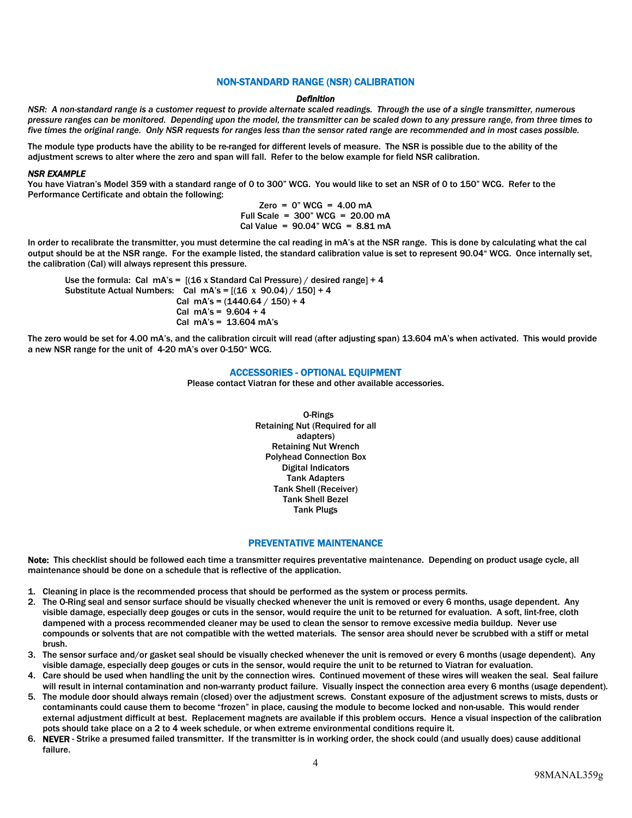# NON-STANDARD RANGE (NSR) CALIBRATION

#### *Definition*

*NSR: A non-standard range is a customer request to provide alternate scaled readings. Through the use of a single transmitter, numerous pressure ranges can be monitored. Depending upon the model, the transmitter can be scaled down to any pressure range, from three times to five times the original range. Only NSR requests for ranges less than the sensor rated range are recommended and in most cases possible.* 

The module type products have the ability to be re-ranged for different levels of measure. The NSR is possible due to the ability of the adjustment screws to alter where the zero and span will fall. Refer to the below example for field NSR calibration.

#### *NSR EXAMPLE*

You have Viatran's Model 359 with a standard range of 0 to 300" WCG. You would like to set an NSR of 0 to 150" WCG. Refer to the Performance Certificate and obtain the following:

> $Zero = 0$ " WCG = 4.00 mA Full Scale = 300" WCG = 20.00 mA Cal Value =  $90.04$ " WCG =  $8.81$  mA

In order to recalibrate the transmitter, you must determine the cal reading in mA's at the NSR range. This is done by calculating what the cal output should be at the NSR range. For the example listed, the standard calibration value is set to represent 90.04" WCG. Once internally set, the calibration (Cal) will always represent this pressure.

Use the formula: Cal mA's =  $[(16 \times \text{Standard Cal Press} \times \text{C}) / \text{desired range}] + 4$ Substitute Actual Numbers: Cal mA's =  $[(16 \times 90.04) / 150] + 4$ Cal mA's =  $(1440.64 / 150) + 4$ Cal mA's =  $9.604 + 4$ Cal mA's = 13.604 mA's

The zero would be set for 4.00 mA's, and the calibration circuit will read (after adjusting span) 13.604 mA's when activated. This would provide a new NSR range for the unit of 4-20 mA's over 0-150" WCG.

# ACCESSORIES - OPTIONAL EQUIPMENT

Please contact Viatran for these and other available accessories.

O-Rings Retaining Nut (Required for all adapters) Retaining Nut Wrench Polyhead Connection Box Digital Indicators Tank Adapters Tank Shell (Receiver) Tank Shell Bezel Tank Plugs

### PREVENTATIVE MAINTENANCE

Note: This checklist should be followed each time a transmitter requires preventative maintenance. Depending on product usage cycle, all maintenance should be done on a schedule that is reflective of the application.

- 1. Cleaning in place is the recommended process that should be performed as the system or process permits.
- 2. The O-Ring seal and sensor surface should be visually checked whenever the unit is removed or every 6 months, usage dependent. Any visible damage, especially deep gouges or cuts in the sensor, would require the unit to be returned for evaluation. A soft, lint-free, cloth dampened with a process recommended cleaner may be used to clean the sensor to remove excessive media buildup. Never use compounds or solvents that are not compatible with the wetted materials. The sensor area should never be scrubbed with a stiff or metal brush.
- 3. The sensor surface and/or gasket seal should be visually checked whenever the unit is removed or every 6 months (usage dependent). Any visible damage, especially deep gouges or cuts in the sensor, would require the unit to be returned to Viatran for evaluation.
- 4. Care should be used when handling the unit by the connection wires. Continued movement of these wires will weaken the seal. Seal failure will result in internal contamination and non-warranty product failure. Visually inspect the connection area every 6 months (usage dependent).
- 5. The module door should always remain (closed) over the adjustment screws. Constant exposure of the adjustment screws to mists, dusts or contaminants could cause them to become "frozen" in place, causing the module to become locked and non-usable. This would render external adjustment difficult at best. Replacement magnets are available if this problem occurs. Hence a visual inspection of the calibration pots should take place on a 2 to 4 week schedule, or when extreme environmental conditions require it.
- 6. NEVER Strike a presumed failed transmitter. If the transmitter is in working order, the shock could (and usually does) cause additional failure.